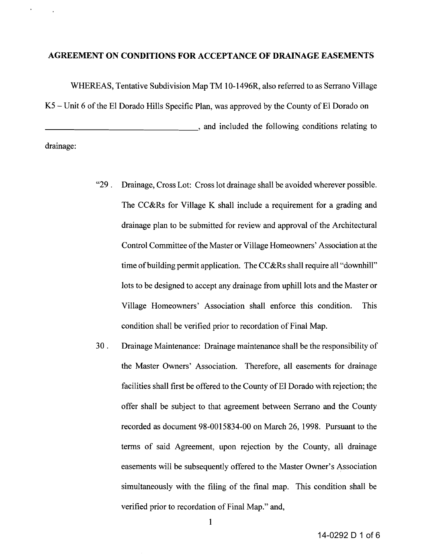## **AGREEMENT ON CONDITIONS FOR ACCEPTANCE OF DRAINAGE EASEMENTS**

WHEREAS, Tentative Subdivision Map TM 10-1496R, also referred to as Serrano Village  $K5$  – Unit 6 of the El Dorado Hills Specific Plan, was approved by the County of El Dorado on **Example 2.1**  $\blacksquare$ , and included the following conditions relating to drainage:

> "29. Drainage, Cross Lot: Cross lot drainage shall be avoided wherever possible. The CC&Rs for Village K shall include a requirement for a grading and drainage plan to be submitted for review and approval of the Architectural Control Committee of the Master or Village Homeowners' Association at the time of building permit application. The CC&Rs shall require all "downhill" lots to be designed to accept any drainage from uphill lots and the Master or Village Homeowners' Association shall enforce this condition. This condition shall be verified prior to recordation of Final Map.

> 30 . Drainage Maintenance: Drainage maintenance shall be the responsibility of the Master Owners' Association. Therefore, all easements for drainage facilities shall first be offered to the County of El Dorado with rejection; the offer shall be subject to that agreement between Serrano and the County recorded as document 98-0015834-00 on March 26, 1998. Pursuant to the terms of said Agreement, upon rejection by the County, all drainage easements will be subsequently offered to the Master Owner's Association simultaneously with the filing of the final map. This condition shall be verified prior to recordation of Final Map." and,

> > 1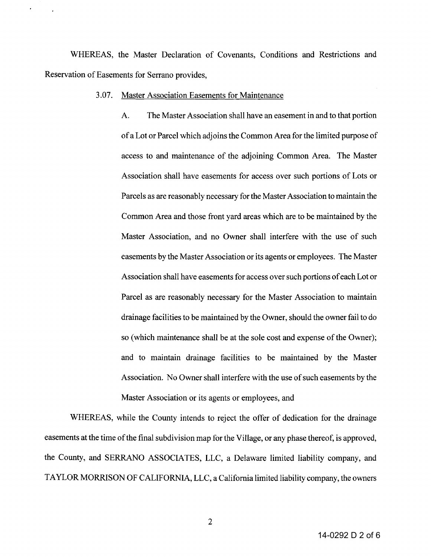WHEREAS, the Master Declaration of Covenants, Conditions and Restrictions and Reservation of Easements for Serrano provides,

## 3.07. Master Association Easements for Maintenance

A. The Master Association shall have an easement in and to that portion ofa Lot or Parcel which adjoins the Common Area for the limited purpose of access to and maintenance of the adjoining Common Area. The Master Association shall have easements for access over such portions of Lots or Parcels as are reasonably necessary for the Master Association to maintain the Common Area and those front yard areas which are to be maintained by the Master Association, and no Owner shall interfere with the use of such easements by the Master Association or its agents or employees. The Master Association shall have easements for access over such portions of each Lot or Parcel as are reasonably necessary for the Master Association to maintain drainage facilities to be maintained by the Owner, should the owner fail to do so (which maintenance shall be at the sole cost and expense of the Owner); and to maintain drainage facilities to be maintained by the Master Association. No Owner shall interfere with the use of such easements by the Master Association or its agents or employees, and

WHEREAS, while the County intends to reject the offer of dedication for the drainage easements at the time of the final subdivision map for the Village, or any phase thereof, is approved, the County, and SERRANO ASSOCIATES, LLC, a Delaware limited liability company, and TAYLOR MORRISON OF CALIFORNIA, LLC, a California limited liability company, the owners

2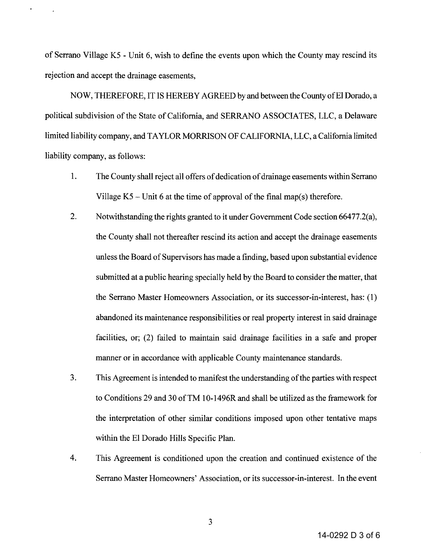of Serrano Village K5 - Unit 6, wish to define the events upon which the County may rescind its rejection and accept the drainage easements,

NOW, THEREFORE, IT IS HEREBY AGREED by and between the County of El Dorado, a political subdivision of the State of California, and SERRANO ASSOCIATES, LLC, a Delaware limited liability company, and TAYLOR MORRISON OF CALIFORNIA, LLC, a California limited liability company, as follows:

- 1. The County shall reject all offers of dedication of drainage easements within Serrano Village  $K5$  – Unit 6 at the time of approval of the final map(s) therefore.
- 2. Notwithstanding the rights granted to it under Government Code section 66477.2(a), the County shall not thereafter rescind its action and accept the drainage easements unless the Board of Supervisors has made a finding, based upon substantial evidence submitted at a public hearing specially held by the Board to consider the matter, that the Serrano Master Homeowners Association, or its successor-in-interest, has: (l) abandoned its maintenance responsibilities or real property interest in said drainage facilities, or; (2) failed to maintain said drainage facilities in a safe and proper manner or in accordance with applicable County maintenance standards.
- 3. This Agreement is intended to manifest the understanding of the parties with respect to Conditions 29 and 30 ofTM 10-1496R and shall be utilized as the framework for the interpretation of other similar conditions imposed upon other tentative maps within the EI Dorado Hills Specific Plan.
- 4. This Agreement is conditioned upon the creation and continued existence of the Serrano Master Homeowners' Association, or its successor-in-interest. In the event

14-0292 D 3 of 6

3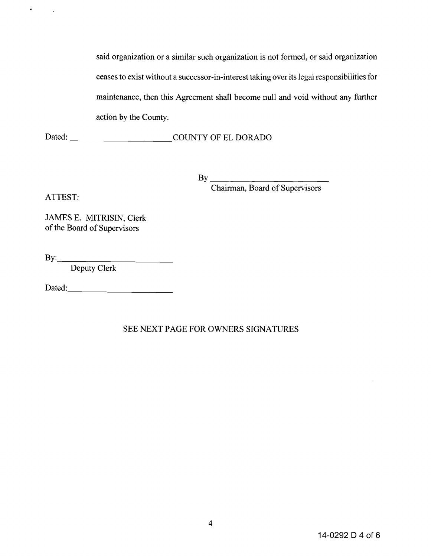said organization or a similar such organization is not formed, or said organization ceases to exist without a successor-in-interest taking over its legal responsibilities for maintenance, then this Agreement shall become **null** and void without any further action by the County.

Dated: COUNTY OF EL DORADO

 $\mathbf{B} \mathbf{v}$ Chairman, Board of Supervisors

ATTEST:

 $\sigma_{\rm{max}}=1$ 

JAMES E. MITRISIN, Clerk of the Board of Supervisors

By: \_

Deputy Clerk

Dated:-----------

SEE NEXT PAGE FOR OWNERS SIGNATURES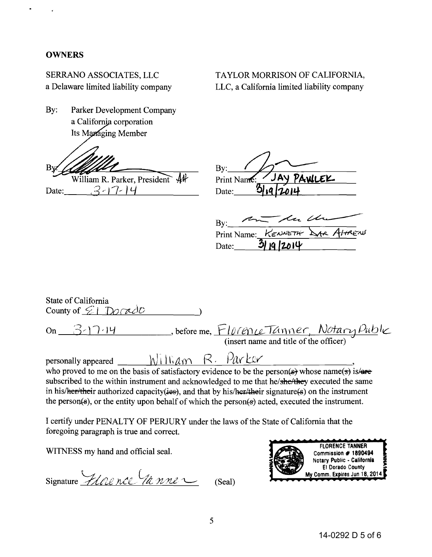## **OWNERS**

SERRANO ASSOCIATES, LLC a Delaware limited liability company

By: Parker Development Company a California corporation Its Managing Member

B١

William R. Parker, President 44  $3-17-14$ Date:

TAYLOR MORRISON OF CALIFORNIA, LLC, a California limited liability company

By:  $\overline{y}$ By: Print Name: JAY PAWLEL Date:

| $\overline{B}v$ : | - u Un    |                                 |
|-------------------|-----------|---------------------------------|
|                   |           | Print Name: KENNETH DAR ALTRENT |
| Date:             | 3119/2014 |                                 |

| State of California<br>County of $\Sigma L$ Dorado                                                                            |
|-------------------------------------------------------------------------------------------------------------------------------|
| before me, $FløreneTanner, Notary Puble$<br>(insert name and title of the officer)<br>$On 3-17.14$                            |
| personally appeared $N\lim_{\alpha\to\infty} R$ . Parker                                                                      |
| who proved to me on the basis of satisfactory evidence to be the person( $\epsilon$ ) whose name( $\epsilon$ ) is/ $\epsilon$ |
| subscribed to the within instrument and acknowledged to me that he/she/they executed the same                                 |
| in his/her/their authorized capacity (ies), and that by his/her/their signature(s) on the instrument                          |
| the person(s), or the entity upon behalf of which the person(s) acted, executed the instrument.                               |

I certify under PENALTY OF PERJURY under the laws of the State of California that the foregoing paragraph is true and correct.

WITNESS my hand and official seal.

Signature Florence (1a nne (Seal)